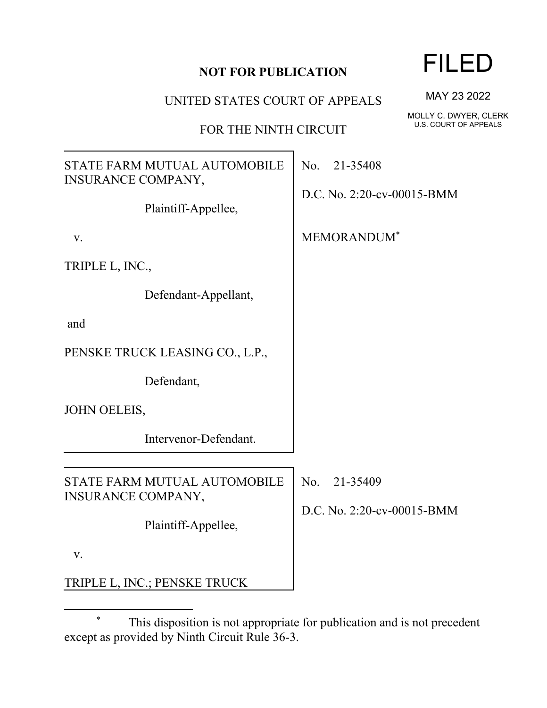UNITED STATES COURT OF APPEALS

FOR THE NINTH CIRCUIT

STATE FARM MUTUAL AUTOMOBILE INSURANCE COMPANY, Plaintiff-Appellee, v. Defendant-Appellant, Defendant, Intervenor-Defendant. No. 21-35408 D.C. No. 2:20-cv-00015-BMM MEMORANDUM\* INSURANCE COMPANY, Plaintiff-Appellee, v. TRIPLE L, INC.; PENSKE TRUCK No. 21-35409 D.C. No. 2:20-cv-00015-BMM

FILED

MAY 23 2022

MOLLY C. DWYER, CLERK U.S. COURT OF APPEALS

TRIPLE L, INC.,

and

PENSKE TRUCK LEASING CO., L.P.,

JOHN OELEIS,

STATE FARM MUTUAL AUTOMOBILE

This disposition is not appropriate for publication and is not precedent except as provided by Ninth Circuit Rule 36-3.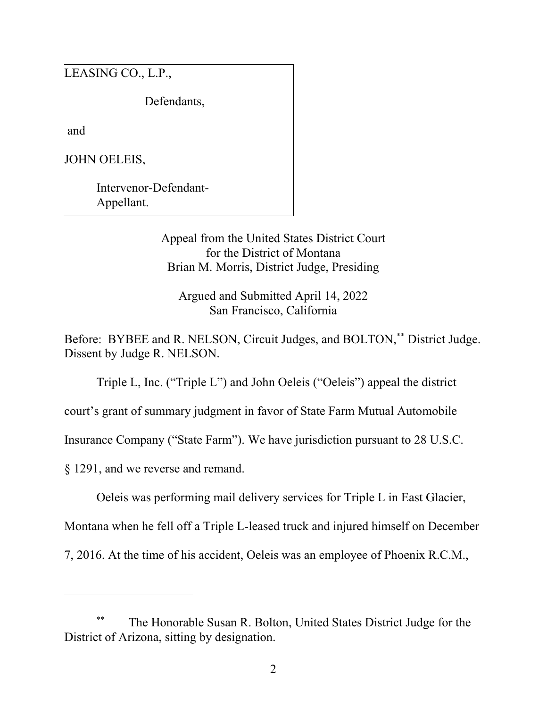LEASING CO., L.P.,

Defendants,

and

JOHN OELEIS,

Intervenor-Defendant-Appellant.

> Appeal from the United States District Court for the District of Montana Brian M. Morris, District Judge, Presiding

Argued and Submitted April 14, 2022 San Francisco, California

Before: BYBEE and R. NELSON, Circuit Judges, and BOLTON,<sup>\*\*</sup> District Judge. Dissent by Judge R. NELSON.

Triple L, Inc. ("Triple L") and John Oeleis ("Oeleis") appeal the district

court's grant of summary judgment in favor of State Farm Mutual Automobile

Insurance Company ("State Farm"). We have jurisdiction pursuant to 28 U.S.C.

§ 1291, and we reverse and remand.

Oeleis was performing mail delivery services for Triple L in East Glacier,

Montana when he fell off a Triple L-leased truck and injured himself on December

7, 2016. At the time of his accident, Oeleis was an employee of Phoenix R.C.M.,

The Honorable Susan R. Bolton, United States District Judge for the District of Arizona, sitting by designation.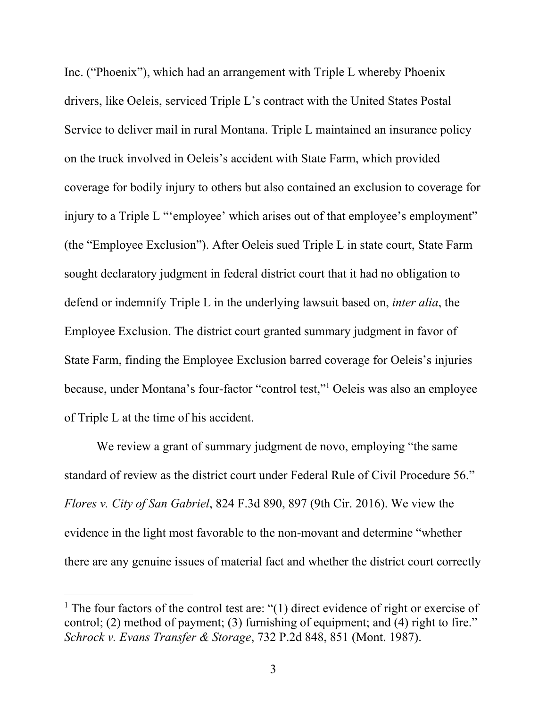Inc. ("Phoenix"), which had an arrangement with Triple L whereby Phoenix drivers, like Oeleis, serviced Triple L's contract with the United States Postal Service to deliver mail in rural Montana. Triple L maintained an insurance policy on the truck involved in Oeleis's accident with State Farm, which provided coverage for bodily injury to others but also contained an exclusion to coverage for injury to a Triple L "'employee' which arises out of that employee's employment" (the "Employee Exclusion"). After Oeleis sued Triple L in state court, State Farm sought declaratory judgment in federal district court that it had no obligation to defend or indemnify Triple L in the underlying lawsuit based on, *inter alia*, the Employee Exclusion. The district court granted summary judgment in favor of State Farm, finding the Employee Exclusion barred coverage for Oeleis's injuries because, under Montana's four-factor "control test," <sup>1</sup> Oeleis was also an employee of Triple L at the time of his accident.

We review a grant of summary judgment de novo, employing "the same standard of review as the district court under Federal Rule of Civil Procedure 56." *Flores v. City of San Gabriel*, 824 F.3d 890, 897 (9th Cir. 2016). We view the evidence in the light most favorable to the non-movant and determine "whether there are any genuine issues of material fact and whether the district court correctly

<sup>&</sup>lt;sup>1</sup> The four factors of the control test are: "(1) direct evidence of right or exercise of control; (2) method of payment; (3) furnishing of equipment; and (4) right to fire." *Schrock v. Evans Transfer & Storage*, 732 P.2d 848, 851 (Mont. 1987).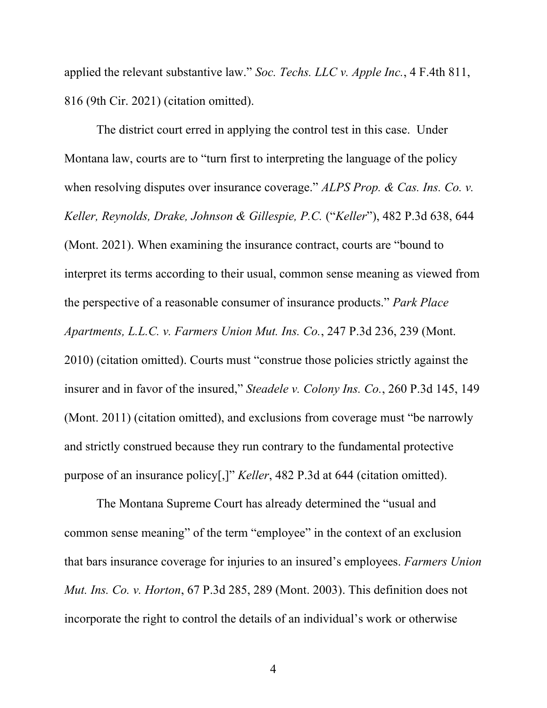applied the relevant substantive law." *Soc. Techs. LLC v. Apple Inc.*, 4 F.4th 811, 816 (9th Cir. 2021) (citation omitted).

The district court erred in applying the control test in this case. Under Montana law, courts are to "turn first to interpreting the language of the policy when resolving disputes over insurance coverage." *ALPS Prop. & Cas. Ins. Co. v. Keller, Reynolds, Drake, Johnson & Gillespie, P.C.* ("*Keller*"), 482 P.3d 638, 644 (Mont. 2021). When examining the insurance contract, courts are "bound to interpret its terms according to their usual, common sense meaning as viewed from the perspective of a reasonable consumer of insurance products." *Park Place Apartments, L.L.C. v. Farmers Union Mut. Ins. Co.*, 247 P.3d 236, 239 (Mont. 2010) (citation omitted). Courts must "construe those policies strictly against the insurer and in favor of the insured," *Steadele v. Colony Ins. Co.*, 260 P.3d 145, 149 (Mont. 2011) (citation omitted), and exclusions from coverage must "be narrowly and strictly construed because they run contrary to the fundamental protective purpose of an insurance policy[,]" *Keller*, 482 P.3d at 644 (citation omitted).

The Montana Supreme Court has already determined the "usual and common sense meaning" of the term "employee" in the context of an exclusion that bars insurance coverage for injuries to an insured's employees. *Farmers Union Mut. Ins. Co. v. Horton*, 67 P.3d 285, 289 (Mont. 2003). This definition does not incorporate the right to control the details of an individual's work or otherwise

4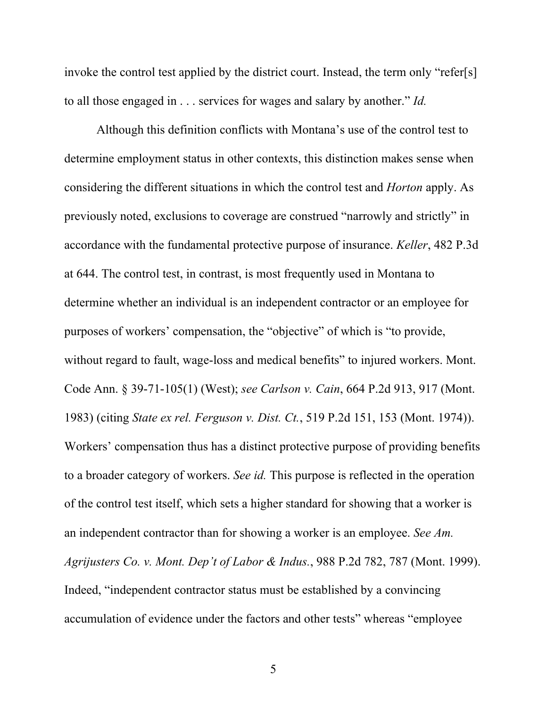invoke the control test applied by the district court. Instead, the term only "refer[s] to all those engaged in . . . services for wages and salary by another." *Id.*

Although this definition conflicts with Montana's use of the control test to determine employment status in other contexts, this distinction makes sense when considering the different situations in which the control test and *Horton* apply. As previously noted, exclusions to coverage are construed "narrowly and strictly" in accordance with the fundamental protective purpose of insurance. *Keller*, 482 P.3d at 644. The control test, in contrast, is most frequently used in Montana to determine whether an individual is an independent contractor or an employee for purposes of workers' compensation, the "objective" of which is "to provide, without regard to fault, wage-loss and medical benefits" to injured workers. Mont. Code Ann. § 39-71-105(1) (West); *see Carlson v. Cain*, 664 P.2d 913, 917 (Mont. 1983) (citing *State ex rel. Ferguson v. Dist. Ct.*, 519 P.2d 151, 153 (Mont. 1974)). Workers' compensation thus has a distinct protective purpose of providing benefits to a broader category of workers. *See id.* This purpose is reflected in the operation of the control test itself, which sets a higher standard for showing that a worker is an independent contractor than for showing a worker is an employee. *See Am. Agrijusters Co. v. Mont. Dep't of Labor & Indus.*, 988 P.2d 782, 787 (Mont. 1999). Indeed, "independent contractor status must be established by a convincing accumulation of evidence under the factors and other tests" whereas "employee

5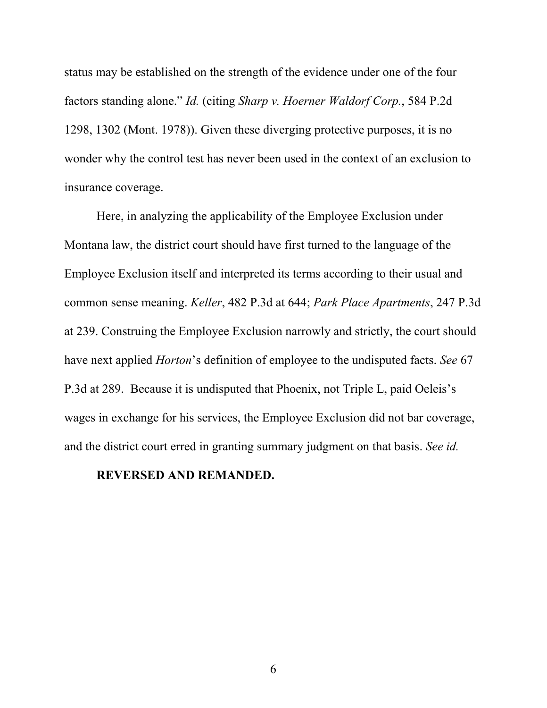status may be established on the strength of the evidence under one of the four factors standing alone." *Id.* (citing *Sharp v. Hoerner Waldorf Corp.*, 584 P.2d 1298, 1302 (Mont. 1978)). Given these diverging protective purposes, it is no wonder why the control test has never been used in the context of an exclusion to insurance coverage.

Here, in analyzing the applicability of the Employee Exclusion under Montana law, the district court should have first turned to the language of the Employee Exclusion itself and interpreted its terms according to their usual and common sense meaning. *Keller*, 482 P.3d at 644; *Park Place Apartments*, 247 P.3d at 239. Construing the Employee Exclusion narrowly and strictly, the court should have next applied *Horton*'s definition of employee to the undisputed facts. *See* 67 P.3d at 289. Because it is undisputed that Phoenix, not Triple L, paid Oeleis's wages in exchange for his services, the Employee Exclusion did not bar coverage, and the district court erred in granting summary judgment on that basis. *See id.*

## **REVERSED AND REMANDED.**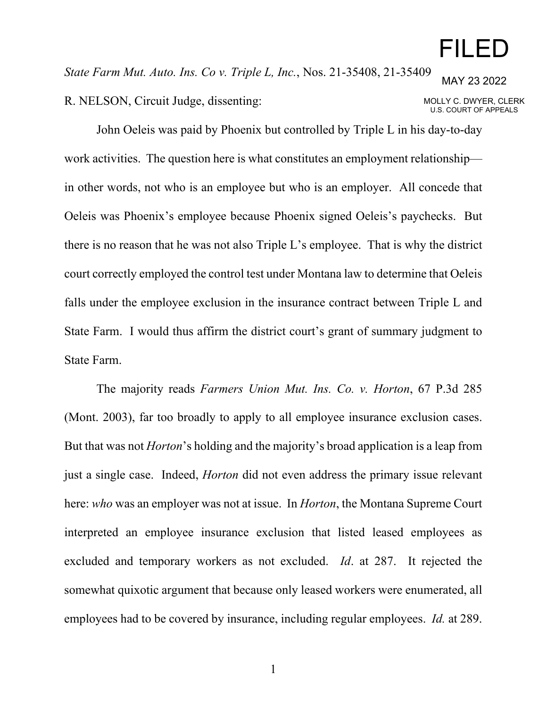## FILED

*State Farm Mut. Auto. Ins. Co v. Triple L, Inc.*, Nos. 21-35408, 21-35409 R. NELSON, Circuit Judge, dissenting: MAY 23 2022 MOLLY C. DWYER, CLERK U.S. COURT OF APPEALS

John Oeleis was paid by Phoenix but controlled by Triple L in his day-to-day work activities. The question here is what constitutes an employment relationship in other words, not who is an employee but who is an employer. All concede that Oeleis was Phoenix's employee because Phoenix signed Oeleis's paychecks. But there is no reason that he was not also Triple L's employee. That is why the district court correctly employed the control test under Montana law to determine that Oeleis falls under the employee exclusion in the insurance contract between Triple L and State Farm. I would thus affirm the district court's grant of summary judgment to State Farm.

The majority reads *Farmers Union Mut. Ins. Co. v. Horton*, 67 P.3d 285 (Mont. 2003), far too broadly to apply to all employee insurance exclusion cases. But that was not *Horton*'s holding and the majority's broad application is a leap from just a single case. Indeed, *Horton* did not even address the primary issue relevant here: *who* was an employer was not at issue. In *Horton*, the Montana Supreme Court interpreted an employee insurance exclusion that listed leased employees as excluded and temporary workers as not excluded. *Id*. at 287. It rejected the somewhat quixotic argument that because only leased workers were enumerated, all employees had to be covered by insurance, including regular employees. *Id.* at 289.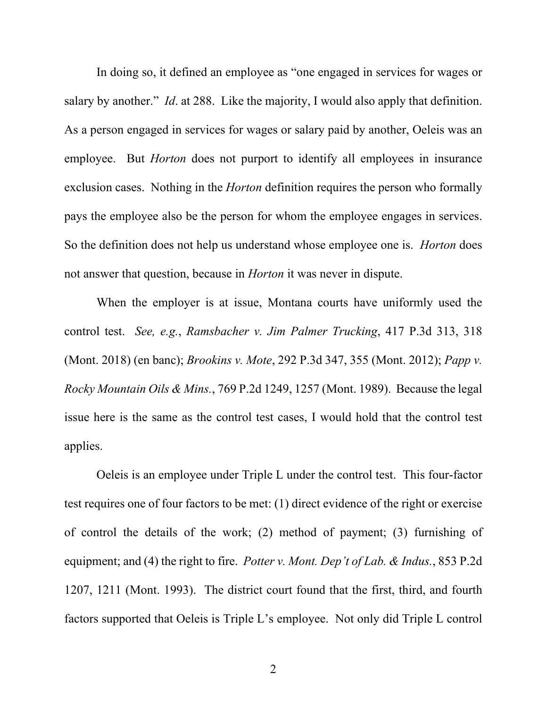In doing so, it defined an employee as "one engaged in services for wages or salary by another." *Id*. at 288. Like the majority, I would also apply that definition. As a person engaged in services for wages or salary paid by another, Oeleis was an employee. But *Horton* does not purport to identify all employees in insurance exclusion cases. Nothing in the *Horton* definition requires the person who formally pays the employee also be the person for whom the employee engages in services. So the definition does not help us understand whose employee one is. *Horton* does not answer that question, because in *Horton* it was never in dispute.

When the employer is at issue, Montana courts have uniformly used the control test. *See, e.g.*, *Ramsbacher v. Jim Palmer Trucking*, 417 P.3d 313, 318 (Mont. 2018) (en banc); *Brookins v. Mote*, 292 P.3d 347, 355 (Mont. 2012); *Papp v. Rocky Mountain Oils & Mins.*, 769 P.2d 1249, 1257 (Mont. 1989). Because the legal issue here is the same as the control test cases, I would hold that the control test applies.

Oeleis is an employee under Triple L under the control test. This four-factor test requires one of four factors to be met: (1) direct evidence of the right or exercise of control the details of the work; (2) method of payment; (3) furnishing of equipment; and (4) the right to fire. *Potter v. Mont. Dep't of Lab. & Indus.*, 853 P.2d 1207, 1211 (Mont. 1993). The district court found that the first, third, and fourth factors supported that Oeleis is Triple L's employee. Not only did Triple L control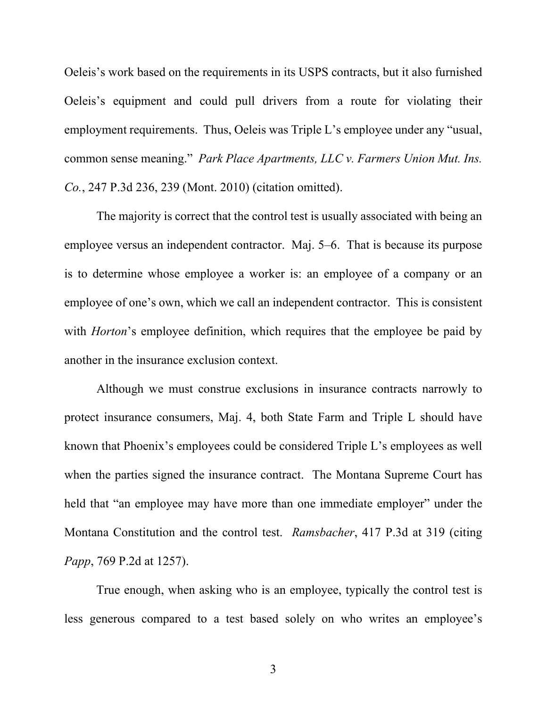Oeleis's work based on the requirements in its USPS contracts, but it also furnished Oeleis's equipment and could pull drivers from a route for violating their employment requirements. Thus, Oeleis was Triple L's employee under any "usual, common sense meaning." *Park Place Apartments, LLC v. Farmers Union Mut. Ins. Co.*, 247 P.3d 236, 239 (Mont. 2010) (citation omitted).

The majority is correct that the control test is usually associated with being an employee versus an independent contractor. Maj. 5–6. That is because its purpose is to determine whose employee a worker is: an employee of a company or an employee of one's own, which we call an independent contractor. This is consistent with *Horton*'s employee definition, which requires that the employee be paid by another in the insurance exclusion context.

Although we must construe exclusions in insurance contracts narrowly to protect insurance consumers, Maj. 4, both State Farm and Triple L should have known that Phoenix's employees could be considered Triple L's employees as well when the parties signed the insurance contract. The Montana Supreme Court has held that "an employee may have more than one immediate employer" under the Montana Constitution and the control test. *Ramsbacher*, 417 P.3d at 319 (citing *Papp*, 769 P.2d at 1257).

True enough, when asking who is an employee, typically the control test is less generous compared to a test based solely on who writes an employee's